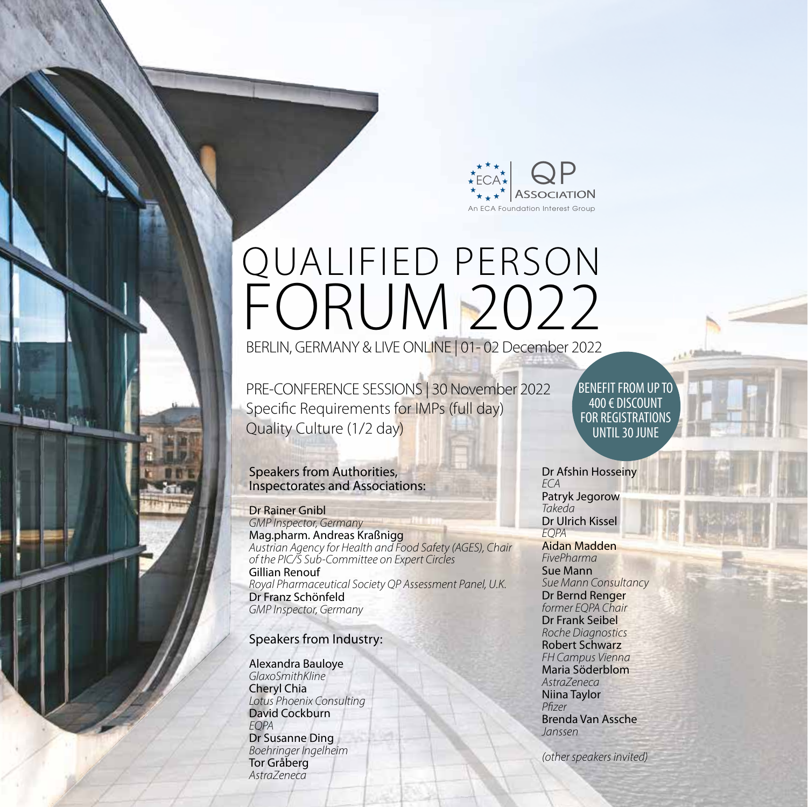

# QUALIFIED PERSON FORUM 2022

BERLIN, GERMANY & LIVE ONLINE | 01- 02 December 2022

PRE-CONFERENCE SESSIONS | 30 November 2022 Specific Requirements for IMPs (full day) Quality Culture (1/2 day)

#### Speakers from Authorities, Inspectorates and Associations:

Dr Rainer Gnibl *GMP Inspector, Germany* Mag.pharm. Andreas Kraßnigg *Austrian Agency for Health and Food Safety (AGES), Chair of the PIC/S Sub-Committee on Expert Circles* Gillian Renouf *Royal Pharmaceutical Society QP Assessment Panel, U.K.* Dr Franz Schönfeld *GMP Inspector, Germany*

## Speakers from Industry:

Alexandra Bauloye *GlaxoSmithKline* Cheryl Chia *Lotus Phoenix Consulting* David Cockburn *EQPA* Dr Susanne Ding *Boehringer Ingelheim* Tor Gråberg *AstraZeneca*

BENEFIT FROM UP TO 400 € DISCOUNT FOR REGISTRATIONS UNTIL 30 JUNE

Dr Afshin Hosseiny *ECA* Patryk Jegorow *Takeda* Dr Ulrich Kissel *EQPA* 

Aidan Madden *FivePharma* Sue Mann *Sue Mann Consultancy* Dr Bernd Renger *former EQPA Chair* Dr Frank Seibel *Roche Diagnostics* Robert Schwarz *FH Campus Vienna* Maria Söderblom *AstraZeneca* Niina Taylor *Pfi zer* Brenda Van Assche *Janssen*

*(other speakers invited)*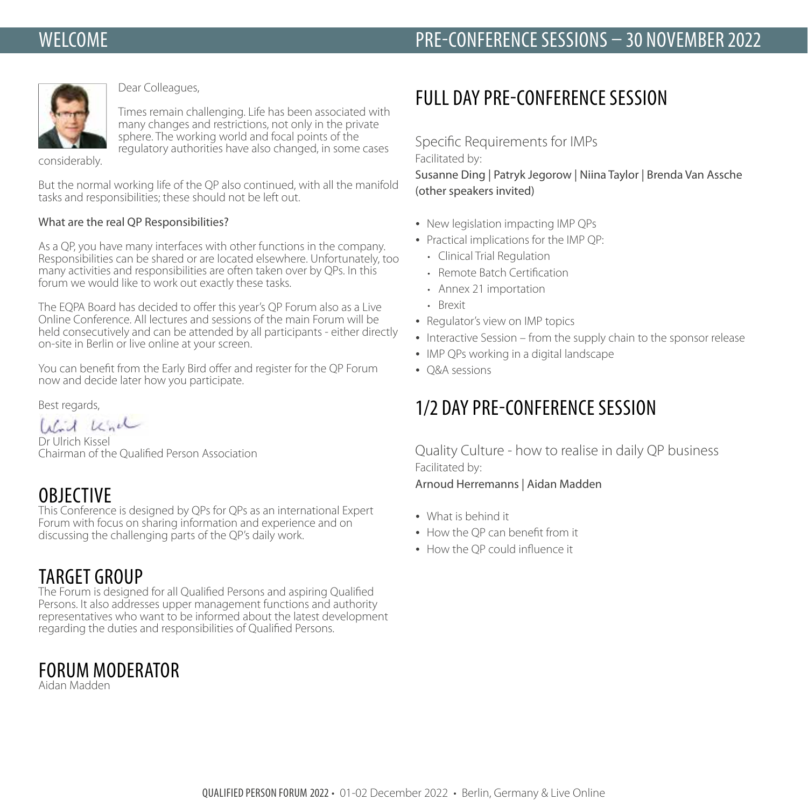# **WELCOME**



Dear Colleagues,

Times remain challenging. Life has been associated with many changes and restrictions, not only in the private sphere. The working world and focal points of the regulatory authorities have also changed, in some cases

considerably.

But the normal working life of the QP also continued, with all the manifold tasks and responsibilities; these should not be left out.

#### What are the real QP Responsibilities?

As a QP, you have many interfaces with other functions in the company. Responsibilities can be shared or are located elsewhere. Unfortunately, too many activities and responsibilities are often taken over by QPs. In this forum we would like to work out exactly these tasks.

The EQPA Board has decided to offer this year's QP Forum also as a Live Online Conference. All lectures and sessions of the main Forum will be held consecutively and can be attended by all participants - either directly on-site in Berlin or live online at your screen.

You can benefit from the Early Bird offer and register for the OP Forum now and decide later how you participate.

Best regards,

Wird Knd

Dr Ulrich Kissel Chairman of the Qualified Person Association

# **OBJECTIVE**

This Conference is designed by QPs for QPs as an international Expert Forum with focus on sharing information and experience and on discussing the challenging parts of the QP's daily work.

# TARGET GROUP

The Forum is designed for all Qualified Persons and aspiring Qualified Persons. It also addresses upper management functions and authority representatives who want to be informed about the latest development regarding the duties and responsibilities of Qualified Persons.

# FORUM MODERATOR

Aidan Madden

# FULL DAY PRE-CONFERENCE SESSION

Specific Requirements for IMPs

Facilitated by:

Susanne Ding | Patryk Jegorow | Niina Taylor | Brenda Van Assche (other speakers invited)

- New legislation impacting IMP QPs
- Practical implications for the IMP QP:
	- Clinical Trial Regulation
	- Remote Batch Certification
	- Annex 21 importation
	- Brexit
- Regulator's view on IMP topics
- Interactive Session from the supply chain to the sponsor release
- IMP QPs working in a digital landscape
- O&A sessions

# 1/2 DAY PRE-CONFERENCE SESSION

Quality Culture - how to realise in daily QP business Facilitated by:

#### Arnoud Herremanns | Aidan Madden

- What is behind it
- How the OP can benefit from it
- $\bullet$  How the OP could influence it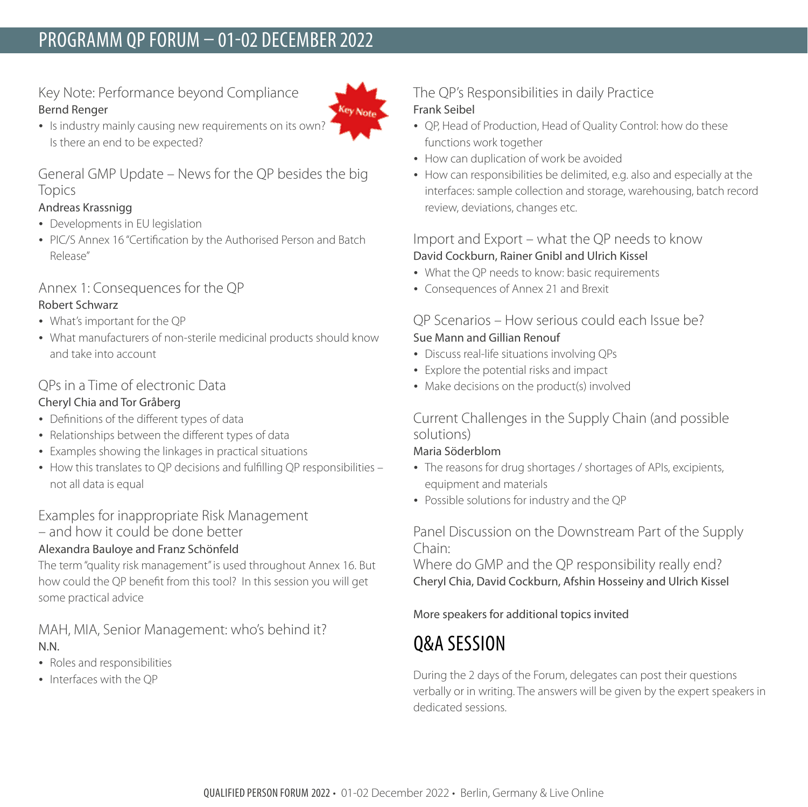# PROGRAMM QP FORUM – 01-02 DECEMBER 2022

# Key Note: Performance beyond Compliance Bernd Renger



• Is industry mainly causing new requirements on its own? Is there an end to be expected?

## General GMP Update – News for the QP besides the big Topics

### Andreas Krassnigg

- Developments in EU legislation
- PIC/S Annex 16 "Certification by the Authorised Person and Batch Release"

# Annex 1: Consequences for the QP

#### Robert Schwarz

- What's important for the QP
- What manufacturers of non-sterile medicinal products should know and take into account

## QPs in a Time of electronic Data

### Cheryl Chia and Tor Gråberg

- Definitions of the different types of data
- Relationships between the different types of data
- Examples showing the linkages in practical situations
- How this translates to QP decisions and fulfilling QP responsibilities not all data is equal

## Examples for inappropriate Risk Management

– and how it could be done better

## Alexandra Bauloye and Franz Schönfeld

The term "quality risk management" is used throughout Annex 16. But how could the QP benefit from this tool? In this session you will get some practical advice

# MAH, MIA, Senior Management: who's behind it? N.N.

- Roles and responsibilities
- $\bullet$  Interfaces with the OP

# The QP's Responsibilities in daily Practice Frank Seibel

- QP, Head of Production, Head of Quality Control: how do these functions work together
- How can duplication of work be avoided
- How can responsibilities be delimited, e.g. also and especially at the interfaces: sample collection and storage, warehousing, batch record review, deviations, changes etc.

# Import and Export – what the QP needs to know David Cockburn, Rainer Gnibl and Ulrich Kissel

- What the QP needs to know: basic requirements
- Consequences of Annex 21 and Brexit

## QP Scenarios – How serious could each Issue be? Sue Mann and Gillian Renouf

- Discuss real-life situations involving QPs
- Explore the potential risks and impact
- Make decisions on the product(s) involved

## Current Challenges in the Supply Chain (and possible solutions)

#### Maria Söderblom

- The reasons for drug shortages / shortages of APIs, excipients, equipment and materials
- Possible solutions for industry and the QP

Panel Discussion on the Downstream Part of the Supply Chain:

Where do GMP and the QP responsibility really end? Cheryl Chia, David Cockburn, Afshin Hosseiny and Ulrich Kissel

## More speakers for additional topics invited

# Q&A SESSION

During the 2 days of the Forum, delegates can post their questions verbally or in writing. The answers will be given by the expert speakers in dedicated sessions.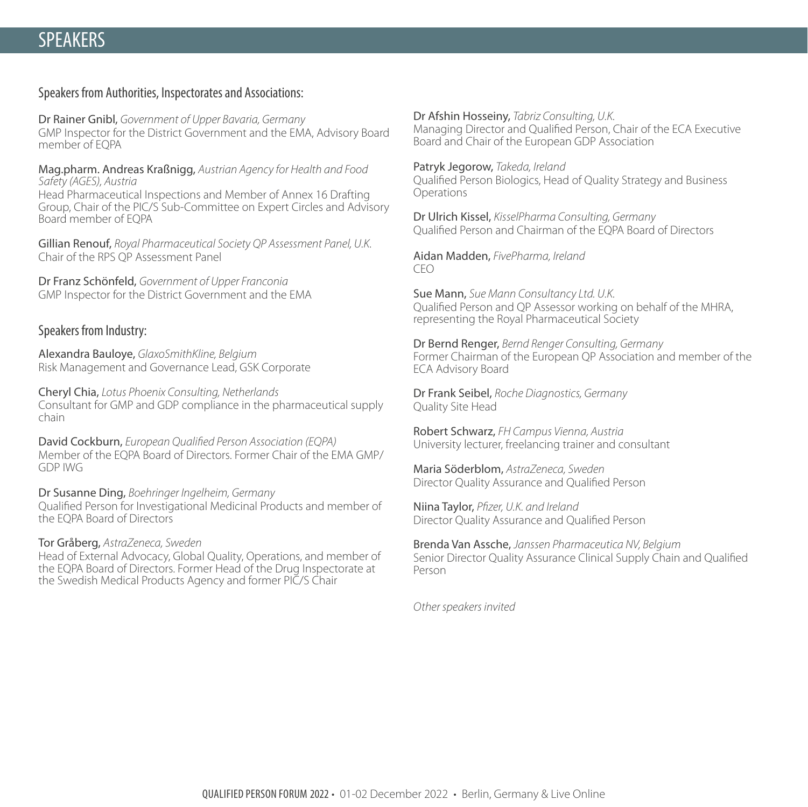#### Speakers from Authorities, Inspectorates and Associations:

Dr Rainer Gnibl, *Government of Upper Bavaria, Germany* GMP Inspector for the District Government and the EMA, Advisory Board member of EQPA

Mag.pharm. Andreas Kraßnigg, *Austrian Agency for Health and Food Safety (AGES), Austria* Head Pharmaceutical Inspections and Member of Annex 16 Drafting Group, Chair of the PIC/S Sub-Committee on Expert Circles and Advisory Board member of EQPA

Gillian Renouf, *Royal Pharmaceutical Society QP Assessment Panel, U.K.*  Chair of the RPS QP Assessment Panel

Dr Franz Schönfeld, *Government of Upper Franconia* GMP Inspector for the District Government and the EMA

#### Speakers from Industry:

Alexandra Bauloye, *GlaxoSmithKline, Belgium* Risk Management and Governance Lead, GSK Corporate

Cheryl Chia, *Lotus Phoenix Consulting, Netherlands* Consultant for GMP and GDP compliance in the pharmaceutical supply chain

David Cockburn, *European Qualified Person Association (EQPA)* Member of the EQPA Board of Directors. Former Chair of the EMA GMP/ GDP IWG

Dr Susanne Ding, *Boehringer Ingelheim, Germany* Qualified Person for Investigational Medicinal Products and member of the EQPA Board of Directors

#### Tor Gråberg, *AstraZeneca, Sweden*

Head of External Advocacy, Global Quality, Operations, and member of the EQPA Board of Directors. Former Head of the Drug Inspectorate at the Swedish Medical Products Agency and former PIC/S Chair

Dr Afshin Hosseiny, *Tabriz Consulting, U.K.* Managing Director and Qualified Person, Chair of the ECA Executive Board and Chair of the European GDP Association

Patryk Jegorow, *Takeda, Ireland* Qualified Person Biologics, Head of Quality Strategy and Business Operations

Dr Ulrich Kissel, *KisselPharma Consulting, Germany* Qualified Person and Chairman of the EQPA Board of Directors

Aidan Madden, *FivePharma, Ireland* CEO

Sue Mann, *Sue Mann Consultancy Ltd. U.K.* Qualified Person and QP Assessor working on behalf of the MHRA, representing the Royal Pharmaceutical Society

Dr Bernd Renger, *Bernd Renger Consulting, Germany*  Former Chairman of the European QP Association and member of the ECA Advisory Board

Dr Frank Seibel, *Roche Diagnostics, Germany* Quality Site Head

Robert Schwarz, *FH Campus Vienna, Austria*  University lecturer, freelancing trainer and consultant

Maria Söderblom, *AstraZeneca, Sweden* Director Quality Assurance and Qualified Person

Niina Taylor, *Pfizer*, U.K. and Ireland Director Quality Assurance and Qualified Person

Brenda Van Assche, *Janssen Pharmaceutica NV, Belgium* Senior Director Quality Assurance Clinical Supply Chain and Qualified Person

*Other speakers invited*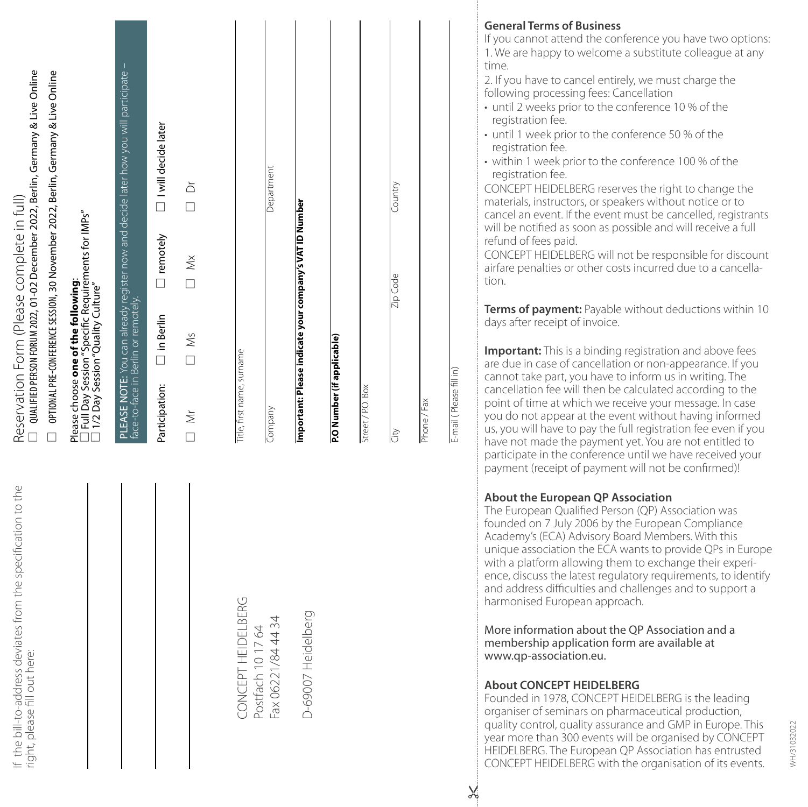| from the specification to the<br>the bill-to-address deviates<br>right, please fill out here: | □ QUALIFIED PERSON FORUM 2022, 01-02 December 2022, Berlin, Germany & Live Online<br>OPTIONAL PRE-CONFERENCE SESSION, 30 November 2022, Berlin, Germany & Live Online<br>Reservation Form (Please complete in full)<br>$\Box$ |
|-----------------------------------------------------------------------------------------------|-------------------------------------------------------------------------------------------------------------------------------------------------------------------------------------------------------------------------------|
|                                                                                               | □ Full Day Session"Specific Requirements for IMPs"<br>□ 1/2 Day Session "Quality Culture"<br>Please choose one of the following:                                                                                              |
|                                                                                               | <b>PLEASE NOTE:</b> You can already register now and decide later how you will participate –<br>face-to-face in Berlin or remotely.                                                                                           |
|                                                                                               | I will decide later<br>$\Box$ remotely<br>$\Box$ in Berlin<br>Participation:                                                                                                                                                  |
|                                                                                               | ð<br>D<br>$\begin{array}{c}\n\bigtriangleup\n\\ \hline\n\end{array}$<br>$\Box$ Ms<br>$\overline{\square}$ Mr                                                                                                                  |
|                                                                                               |                                                                                                                                                                                                                               |
| BERG<br>Postfach 10 17 64<br>CONCEPT HEIDELI                                                  | Title, first name, surname                                                                                                                                                                                                    |
| Fax 06221/84 44 34                                                                            | Department<br>Company                                                                                                                                                                                                         |
| D-69007 Heidelberg                                                                            | Important: Please indicate your company's VAT ID Number                                                                                                                                                                       |
|                                                                                               | P.O Number (if applicable)                                                                                                                                                                                                    |
|                                                                                               | Street / P.O. Box                                                                                                                                                                                                             |
|                                                                                               | Country<br>Zip Code<br>lè                                                                                                                                                                                                     |
|                                                                                               | Phone / Fax                                                                                                                                                                                                                   |
|                                                                                               | E-mail (Please fill in)                                                                                                                                                                                                       |

### **General Terms of Business**

If you cannot attend the conference you have two options: 1. We are happy to welcome a substitute colleague at any time.

2. If you have to cancel entirely, we must charge the following processing fees: Cancellation

- until 2 weeks prior to the conference 10 % of the registration fee.
- until 1 week prior to the conference 50 % of the registration fee.
- within 1 week prior to the conference 100 % of the registration fee.

CONCEPT HEIDELBERG reserves the right to change the materials, instructors, or speakers without notice or to cancel an event. If the event must be cancelled, registrants will be notified as soon as possible and will receive a full refund of fees paid.

CONCEPT HEIDELBERG will not be responsible for discount airfare penalties or other costs incurred due to a cancella tion.

**Terms of payment:** Payable without deductions within 10 days after receipt of invoice.

**Important:** This is a binding registration and above fees are due in case of cancellation or non-appearance. If you cannot take part, you have to inform us in writing. The cancellation fee will then be calculated according to the point of time at which we receive your message. In case you do not appear at the event without having informed us, you will have to pay the full registration fee even if you have not made the payment yet. You are not entitled to participate in the conference until we have received your payment (receipt of payment will not be confirmed)!

## **About the European QP Association**

The European Qualified Person (QP) Association was founded on 7 July 2006 by the European Compliance Academy's (ECA) Advisory Board Members. With this unique association the ECA wants to provide QPs in Europe with a platform allowing them to exchange their experi ence, discuss the latest regulatory requirements, to identify and address difficulties and challenges and to support a harmonised European approach.

More information about the QP Association and a membership application form are available at www.qp-association.eu.

## **About CONCEPT HEIDELBERG**

Founded in 1978, CONCEPT HEIDELBERG is the leading organiser of seminars on pharmaceutical production, quality control, quality assurance and GMP in Europe. This year more than 300 events will be organised by CONCEPT HEIDELBERG. The European QP Association has entrusted CONCEPT HEIDELBERG with the organisation of its events.